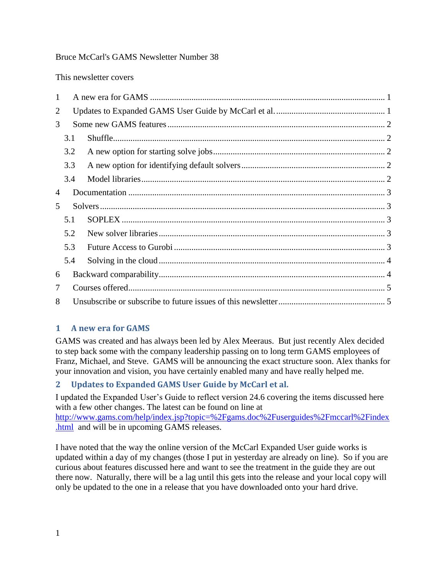#### Bruce McCarl's GAMS Newsletter Number 38

This newsletter covers

| 1 |     |  |  |
|---|-----|--|--|
| 2 |     |  |  |
| 3 |     |  |  |
|   | 3.1 |  |  |
|   | 3.2 |  |  |
|   | 3.3 |  |  |
|   | 3.4 |  |  |
| 4 |     |  |  |
|   |     |  |  |
| 5 |     |  |  |
|   | 5.1 |  |  |
|   | 5.2 |  |  |
|   | 5.3 |  |  |
|   | 5.4 |  |  |
| 6 |     |  |  |
| 7 |     |  |  |

### <span id="page-0-0"></span>**1 A new era for GAMS**

GAMS was created and has always been led by Alex Meeraus. But just recently Alex decided to step back some with the company leadership passing on to long term GAMS employees of Franz, Michael, and Steve. GAMS will be announcing the exact structure soon. Alex thanks for your innovation and vision, you have certainly enabled many and have really helped me.

### <span id="page-0-1"></span>**2 Updates to Expanded GAMS User Guide by McCarl et al.**

I updated the Expanded User's Guide to reflect version 24.6 covering the items discussed here with a few other changes. The latest can be found on line at [http://www.gams.com/help/index.jsp?topic=%2Fgams.doc%2Fuserguides%2Fmccarl%2Findex](http://www.gams.com/help/index.jsp?topic=%2Fgams.doc%2Fuserguides%2Fmccarl%2Findex.html) [.html](http://www.gams.com/help/index.jsp?topic=%2Fgams.doc%2Fuserguides%2Fmccarl%2Findex.html) and will be in upcoming GAMS releases.

I have noted that the way the online version of the McCarl Expanded User guide works is updated within a day of my changes (those I put in yesterday are already on line). So if you are curious about features discussed here and want to see the treatment in the guide they are out there now. Naturally, there will be a lag until this gets into the release and your local copy will only be updated to the one in a release that you have downloaded onto your hard drive.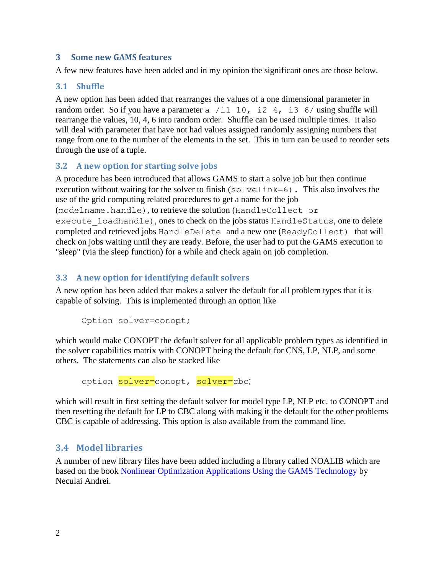#### <span id="page-1-0"></span>**3 Some new GAMS features**

A few new features have been added and in my opinion the significant ones are those below.

#### <span id="page-1-1"></span>**3.1 Shuffle**

A new option has been added that rearranges the values of a one dimensional parameter in random order. So if you have a parameter a /i1 10, i2 4, i3 6/ using shuffle will rearrange the values, 10, 4, 6 into random order. Shuffle can be used multiple times. It also will deal with parameter that have not had values assigned randomly assigning numbers that range from one to the number of the elements in the set. This in turn can be used to reorder sets through the use of a tuple.

#### <span id="page-1-2"></span>**3.2 A new option for starting solve jobs**

A procedure has been introduced that allows GAMS to start a solve job but then continue execution without waiting for the solver to finish (solvelink=6). This also involves the use of the grid computing related procedures to get a name for the job

(modelname.handle), to retrieve the solution (HandleCollect or

execute loadhandle), ones to check on the jobs status HandleStatus, one to delete completed and retrieved jobs HandleDelete and a new one (ReadyCollect) that will check on jobs waiting until they are ready. Before, the user had to put the GAMS execution to "sleep" (via the sleep function) for a while and check again on job completion.

### <span id="page-1-3"></span>**3.3 A new option for identifying default solvers**

A new option has been added that makes a solver the default for all problem types that it is capable of solving. This is implemented through an option like

```
Option solver=conopt;
```
which would make CONOPT the default solver for all applicable problem types as identified in the solver capabilities matrix with CONOPT being the default for CNS, LP, NLP, and some others. The statements can also be stacked like

option solver=conopt, solver=cbc;

which will result in first setting the default solver for model type LP, NLP etc. to CONOPT and then resetting the default for LP to CBC along with making it the default for the other problems CBC is capable of addressing. This option is also available from the command line.

### <span id="page-1-4"></span>**3.4 Model libraries**

A number of new library files have been added including a library called NOALIB which are based on the book [Nonlinear Optimization Applications Using the GAMS Technology](http://www.amazon.com/Nonlinear-Optimization-Applications-Technology-Springer/dp/1461467969) by Neculai Andrei.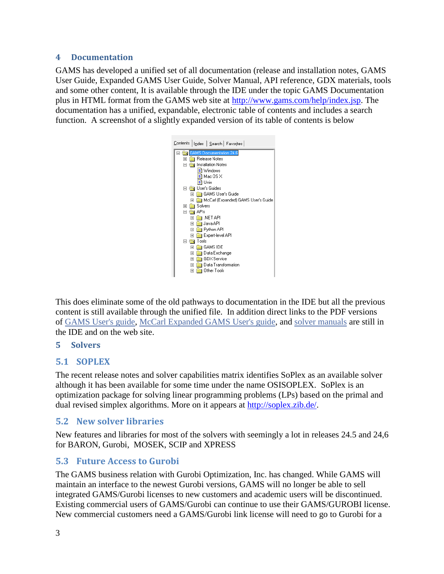#### <span id="page-2-0"></span>**4 Documentation**

GAMS has developed a unified set of all documentation (release and installation notes, GAMS User Guide, Expanded GAMS User Guide, Solver Manual, API reference, GDX materials, tools and some other content, It is available through the IDE under the topic GAMS Documentation plus in HTML format from the GAMS web site at [http://www.gams.com/help/index.jsp.](http://www.gams.com/help/index.jsp) The documentation has a unified, expandable, electronic table of contents and includes a search function. A screenshot of a slightly expanded version of its table of contents is below



This does eliminate some of the old pathways to documentation in the IDE but all the previous content is still available through the unified file. In addition direct links to the PDF versions of [GAMS User's guide,](https://www.gams.com/help/topic/gams.doc/userguides/GAMSUsersGuide.pdf) [McCarl Expanded GAMS User's guide,](https://www.gams.com/help/topic/gams.doc/userguides/mccarl/mccarlgamsuserguide.pdf) and [solver manuals](https://www.gams.com/help/topic/gams.doc/solvers/allsolvers.pdf) are still in the IDE and on the web site.

### <span id="page-2-1"></span>**5 Solvers**

### <span id="page-2-2"></span>**5.1 SOPLEX**

The recent release notes and solver capabilities matrix identifies SoPlex as an available solver although it has been available for some time under the name OSISOPLEX. SoPlex is an optimization package for solving linear programming problems (LPs) based on the primal and dual revised simplex algorithms. More on it appears at [http://soplex.zib.de/.](http://soplex.zib.de/)

## <span id="page-2-3"></span>**5.2 New solver libraries**

New features and libraries for most of the solvers with seemingly a lot in releases 24.5 and 24,6 for BARON, Gurobi, MOSEK, SCIP and XPRESS

## <span id="page-2-4"></span>**5.3 Future Access to Gurobi**

The GAMS business relation with Gurobi Optimization, Inc. has changed. While GAMS will maintain an interface to the newest Gurobi versions, GAMS will no longer be able to sell integrated GAMS/Gurobi licenses to new customers and academic users will be discontinued. Existing commercial users of GAMS/Gurobi can continue to use their GAMS/GUROBI license. New commercial customers need a GAMS/Gurobi link license will need to go to Gurobi for a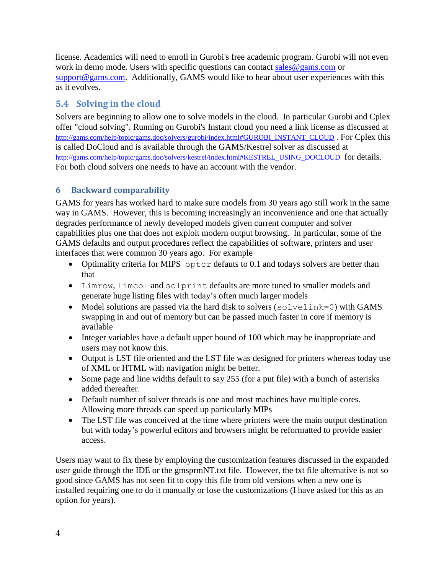license. Academics will need to enroll in Gurobi's free academic program. Gurobi will not even work in demo mode. Users with specific questions can contact [sales@gams.com](mailto:sales@gams.com) or [support@gams.com.](mailto:support@gams.com) Additionally, GAMS would like to hear about user experiences with this as it evolves.

# <span id="page-3-0"></span>**5.4 Solving in the cloud**

Solvers are beginning to allow one to solve models in the cloud. In particular Gurobi and Cplex offer "cloud solving". Running on Gurobi's Instant cloud you need a link license as discussed at [http://gams.com/help/topic/gams.doc/solvers/gurobi/index.html#GUROBI\\_INSTANT\\_CLOUD](http://gams.com/help/topic/gams.doc/solvers/gurobi/index.html#GUROBI_INSTANT_CLOUD) . For Cplex this is called DoCloud and is available through the GAMS/Kestrel solver as discussed at [http://gams.com/help/topic/gams.doc/solvers/kestrel/index.html#KESTREL\\_USING\\_DOCLOUD](http://gams.com/help/topic/gams.doc/solvers/kestrel/index.html#KESTREL_USING_DOCLOUD) for details. For both cloud solvers one needs to have an account with the vendor.

## <span id="page-3-1"></span>**6 Backward comparability**

GAMS for years has worked hard to make sure models from 30 years ago still work in the same way in GAMS. However, this is becoming increasingly an inconvenience and one that actually degrades performance of newly developed models given current computer and solver capabilities plus one that does not exploit modern output browsing. In particular, some of the GAMS defaults and output procedures reflect the capabilities of software, printers and user interfaces that were common 30 years ago. For example

- Optimality criteria for MIPS optcr defauts to 0.1 and todays solvers are better than that
- Limrow, limcol and solprint defaults are more tuned to smaller models and generate huge listing files with today's often much larger models
- Model solutions are passed via the hard disk to solvers (solvelink=0) with GAMS swapping in and out of memory but can be passed much faster in core if memory is available
- Integer variables have a default upper bound of 100 which may be inappropriate and users may not know this.
- Output is LST file oriented and the LST file was designed for printers whereas today use of XML or HTML with navigation might be better.
- Some page and line widths default to say 255 (for a put file) with a bunch of asterisks added thereafter.
- Default number of solver threads is one and most machines have multiple cores. Allowing more threads can speed up particularly MIPs
- The LST file was conceived at the time where printers were the main output destination but with today's powerful editors and browsers might be reformatted to provide easier access.

Users may want to fix these by employing the customization features discussed in the expanded user guide through the IDE or the gmsprmNT.txt file. However, the txt file alternative is not so good since GAMS has not seen fit to copy this file from old versions when a new one is installed requiring one to do it manually or lose the customizations (I have asked for this as an option for years).